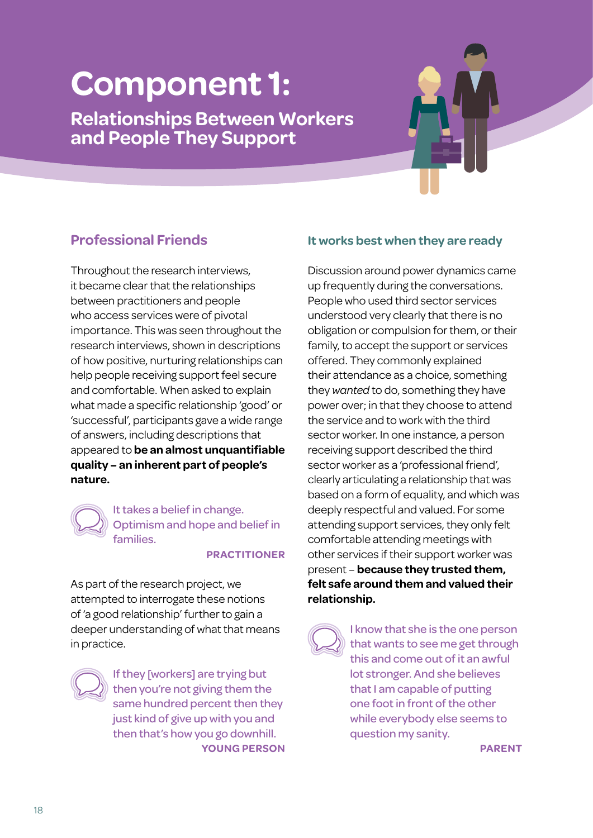# **Component 1:**

**Relationships Between Workers and People They Support**

# **Professional Friends**

Throughout the research interviews, it became clear that the relationships between practitioners and people who access services were of pivotal importance. This was seen throughout the research interviews, shown in descriptions of how positive, nurturing relationships can help people receiving support feel secure and comfortable. When asked to explain what made a specific relationship 'good' or 'successful', participants gave a wide range of answers, including descriptions that appeared to **be an almost unquantifiable quality – an inherent part of people's nature.** 

> It takes a belief in change. Optimism and hope and belief in families.

#### **PRACTITIONER**

As part of the research project, we attempted to interrogate these notions of 'a good relationship' further to gain a deeper understanding of what that means in practice.



If they [workers] are trying but then you're not giving them the same hundred percent then they just kind of give up with you and then that's how you go downhill. **YOUNG PERSON**

## **It works best when they are ready**

Discussion around power dynamics came up frequently during the conversations. People who used third sector services understood very clearly that there is no obligation or compulsion for them, or their family, to accept the support or services offered. They commonly explained their attendance as a choice, something they *wanted* to do, something they have power over; in that they choose to attend the service and to work with the third sector worker. In one instance, a person receiving support described the third sector worker as a 'professional friend', clearly articulating a relationship that was based on a form of equality, and which was deeply respectful and valued. For some attending support services, they only felt comfortable attending meetings with other services if their support worker was present – **because they trusted them, felt safe around them and valued their relationship.**

I know that she is the one person that wants to see me get through this and come out of it an awful lot stronger. And she believes that I am capable of putting one foot in front of the other while everybody else seems to question my sanity.

**PARENT**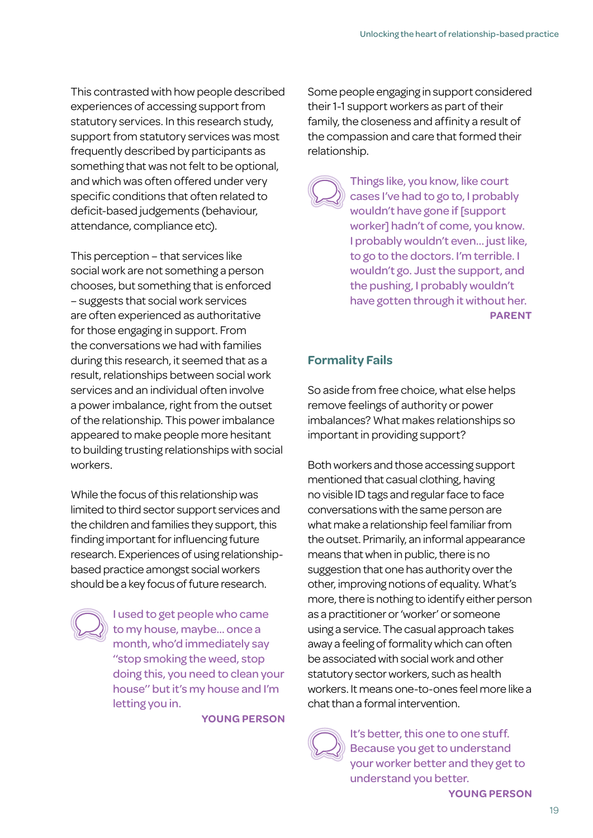This contrasted with how people described experiences of accessing support from statutory services. In this research study, support from statutory services was most frequently described by participants as something that was not felt to be optional, and which was often offered under very specific conditions that often related to deficit-based judgements (behaviour, attendance, compliance etc).

This perception – that services like social work are not something a person chooses, but something that is enforced – suggests that social work services are often experienced as authoritative for those engaging in support. From the conversations we had with families during this research, it seemed that as a result, relationships between social work services and an individual often involve a power imbalance, right from the outset of the relationship. This power imbalance appeared to make people more hesitant to building trusting relationships with social workers.

While the focus of this relationship was limited to third sector support services and the children and families they support, this finding important for influencing future research. Experiences of using relationshipbased practice amongst social workers should be a key focus of future research.



I used to get people who came to my house, maybe… once a month, who'd immediately say ''stop smoking the weed, stop doing this, you need to clean your house'' but it's my house and I'm letting you in.

**YOUNG PERSON**

Some people engaging in support considered their 1-1 support workers as part of their family, the closeness and affinity a result of the compassion and care that formed their relationship.

Things like, you know, like court cases I've had to go to, I probably wouldn't have gone if [support worker] hadn't of come, you know. I probably wouldn't even... just like, to go to the doctors. I'm terrible. I wouldn't go. Just the support, and the pushing, I probably wouldn't have gotten through it without her. **PARENT**

# **Formality Fails**

So aside from free choice, what else helps remove feelings of authority or power imbalances? What makes relationships so important in providing support?

Both workers and those accessing support mentioned that casual clothing, having no visible ID tags and regular face to face conversations with the same person are what make a relationship feel familiar from the outset. Primarily, an informal appearance means that when in public, there is no suggestion that one has authority over the other, improving notions of equality. What's more, there is nothing to identify either person as a practitioner or 'worker' or someone using a service. The casual approach takes away a feeling of formality which can often be associated with social work and other statutory sector workers, such as health workers. It means one-to-ones feel more like a chat than a formal intervention.



It's better, this one to one stuff. Because you get to understand your worker better and they get to understand you better.

**YOUNG PERSON**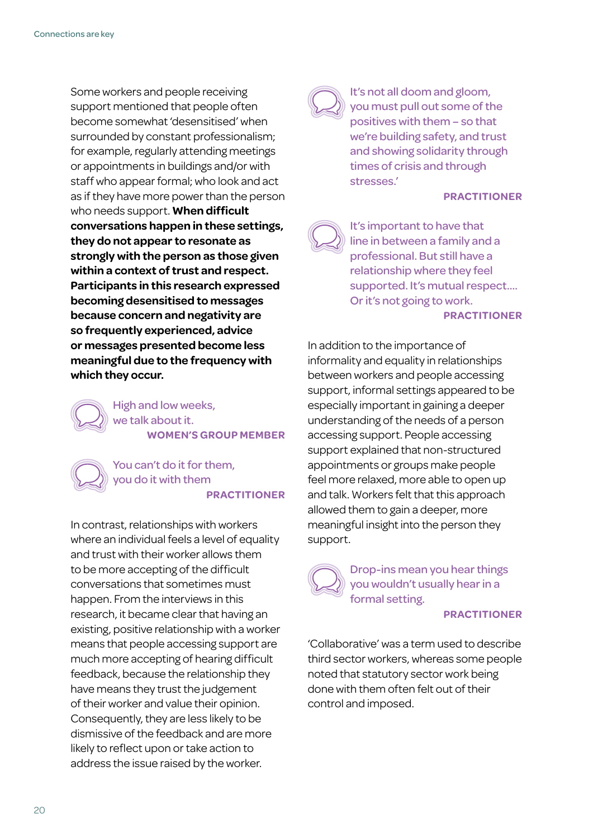Some workers and people receiving support mentioned that people often become somewhat 'desensitised' when surrounded by constant professionalism; for example, regularly attending meetings or appointments in buildings and/or with staff who appear formal; who look and act as if they have more power than the person who needs support. **When difficult conversations happen in these settings, they do not appear to resonate as strongly with the person as those given within a context of trust and respect. Participants in this research expressed becoming desensitised to messages because concern and negativity are so frequently experienced, advice or messages presented become less meaningful due to the frequency with which they occur.** 

> High and low weeks, we talk about it. **WOMEN'S GROUP MEMBER**

#### You can't do it for them, you do it with them **PRACTITIONER**

In contrast, relationships with workers where an individual feels a level of equality and trust with their worker allows them to be more accepting of the difficult conversations that sometimes must happen. From the interviews in this research, it became clear that having an existing, positive relationship with a worker means that people accessing support are much more accepting of hearing difficult feedback, because the relationship they have means they trust the judgement of their worker and value their opinion. Consequently, they are less likely to be dismissive of the feedback and are more likely to reflect upon or take action to address the issue raised by the worker.



It's not all doom and gloom, you must pull out some of the positives with them – so that we're building safety, and trust and showing solidarity through times of crisis and through stresses.'

#### **PRACTITIONER**



It's important to have that line in between a family and a professional. But still have a relationship where they feel supported. It's mutual respect…. Or it's not going to work. **PRACTITIONER**

In addition to the importance of informality and equality in relationships between workers and people accessing support, informal settings appeared to be especially important in gaining a deeper understanding of the needs of a person accessing support. People accessing support explained that non-structured appointments or groups make people feel more relaxed, more able to open up and talk. Workers felt that this approach allowed them to gain a deeper, more meaningful insight into the person they support.



Drop-ins mean you hear things you wouldn't usually hear in a formal setting.

#### **PRACTITIONER**

'Collaborative' was a term used to describe third sector workers, whereas some people noted that statutory sector work being done with them often felt out of their control and imposed.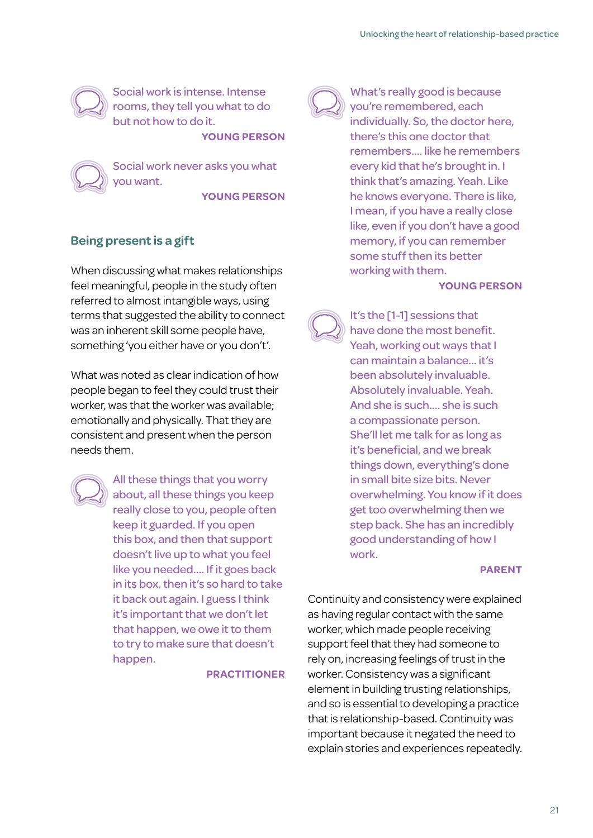

Social work is intense. Intense rooms, they tell you what to do but not how to do it.

**YOUNG PERSON**

Social work never asks you what you want.

**YOUNG PERSON**

## **Being present is a gift**

When discussing what makes relationships feel meaningful, people in the study often referred to almost intangible ways, using terms that suggested the ability to connect was an inherent skill some people have, something 'you either have or you don't'.

What was noted as clear indication of how people began to feel they could trust their worker, was that the worker was available; emotionally and physically. That they are consistent and present when the person needs them.



All these things that you worry about, all these things you keep really close to you, people often keep it guarded. If you open this box, and then that support doesn't live up to what you feel like you needed…. If it goes back in its box, then it's so hard to take it back out again. I guess I think it's important that we don't let that happen, we owe it to them to try to make sure that doesn't happen.

**PRACTITIONER**



What's really good is because you're remembered, each individually. So, the doctor here, there's this one doctor that remembers.... like he remembers every kid that he's brought in. I think that's amazing. Yeah. Like he knows everyone. There is like, I mean, if you have a really close like, even if you don't have a good memory, if you can remember some stuff then its better working with them.

#### **YOUNG PERSON**

It's the [1-1] sessions that have done the most benefit. Yeah, working out ways that I can maintain a balance... it's been absolutely invaluable. Absolutely invaluable. Yeah. And she is such.... she is such a compassionate person. She'll let me talk for as long as it's beneficial, and we break things down, everything's done in small bite size bits. Never overwhelming. You know if it does get too overwhelming then we step back. She has an incredibly good understanding of how I work.

#### **PARENT**

Continuity and consistency were explained as having regular contact with the same worker, which made people receiving support feel that they had someone to rely on, increasing feelings of trust in the worker. Consistency was a significant element in building trusting relationships, and so is essential to developing a practice that is relationship-based. Continuity was important because it negated the need to explain stories and experiences repeatedly.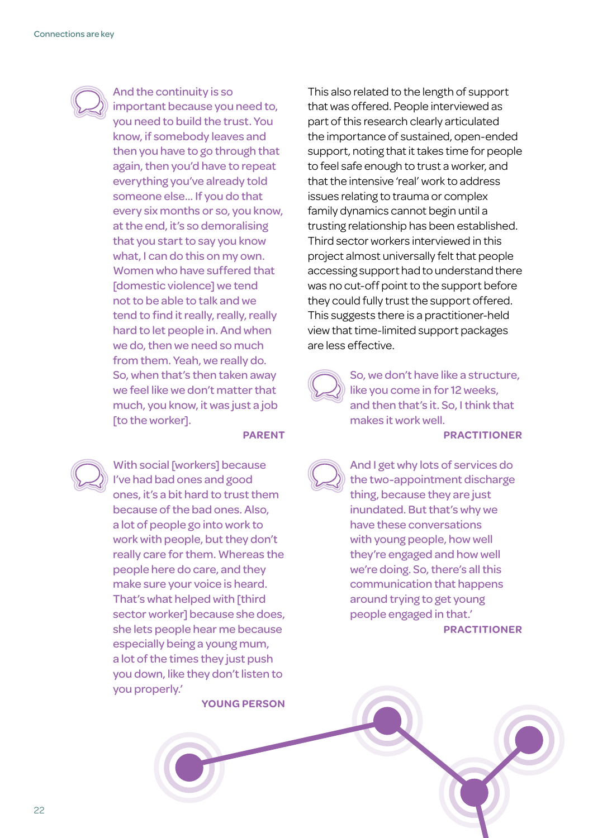

And the continuity is so important because you need to, you need to build the trust. You know, if somebody leaves and then you have to go through that again, then you'd have to repeat everything you've already told someone else... If you do that every six months or so, you know, at the end, it's so demoralising that you start to say you know what, I can do this on my own. Women who have suffered that [domestic violence] we tend not to be able to talk and we tend to find it really, really, really hard to let people in. And when we do, then we need so much from them. Yeah, we really do. So, when that's then taken away we feel like we don't matter that much, you know, it was just a job [to the worker].

#### **PARENT**



With social [workers] because I've had bad ones and good ones, it's a bit hard to trust them because of the bad ones. Also, a lot of people go into work to work with people, but they don't really care for them. Whereas the people here do care, and they make sure your voice is heard. That's what helped with [third sector worker] because she does, she lets people hear me because especially being a young mum, a lot of the times they just push you down, like they don't listen to you properly.'

**YOUNG PERSON**

This also related to the length of support that was offered. People interviewed as part of this research clearly articulated the importance of sustained, open-ended support, noting that it takes time for people to feel safe enough to trust a worker, and that the intensive 'real' work to address issues relating to trauma or complex family dynamics cannot begin until a trusting relationship has been established. Third sector workers interviewed in this project almost universally felt that people accessing support had to understand there was no cut-off point to the support before they could fully trust the support offered. This suggests there is a practitioner-held view that time-limited support packages are less effective.

So, we don't have like a structure, like you come in for 12 weeks, and then that's it. So, I think that makes it work well.

#### **PRACTITIONER**



And I get why lots of services do the two-appointment discharge thing, because they are just inundated. But that's why we have these conversations with young people, how well they're engaged and how well we're doing. So, there's all this communication that happens around trying to get young people engaged in that.'

**PRACTITIONER**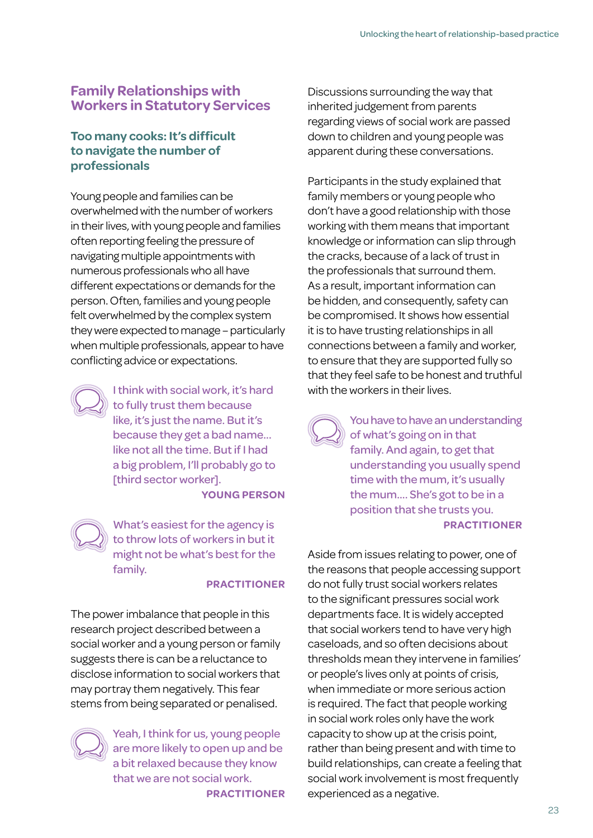# **Family Relationships with Workers in Statutory Services**

## **Too many cooks: It's difficult to navigate the number of professionals**

Young people and families can be overwhelmed with the number of workers in their lives, with young people and families often reporting feeling the pressure of navigating multiple appointments with numerous professionals who all have different expectations or demands for the person. Often, families and young people felt overwhelmed by the complex system they were expected to manage – particularly when multiple professionals, appear to have conflicting advice or expectations.



I think with social work, it's hard to fully trust them because like, it's just the name. But it's because they get a bad name... like not all the time. But if I had a big problem, I'll probably go to [third sector worker]. **YOUNG PERSON**

What's easiest for the agency is to throw lots of workers in but it might not be what's best for the family.

### **PRACTITIONER**

The power imbalance that people in this research project described between a social worker and a young person or family suggests there is can be a reluctance to disclose information to social workers that may portray them negatively. This fear stems from being separated or penalised.



Yeah, I think for us, young people are more likely to open up and be a bit relaxed because they know that we are not social work. **PRACTITIONER**

Discussions surrounding the way that inherited judgement from parents regarding views of social work are passed down to children and young people was apparent during these conversations.

Participants in the study explained that family members or young people who don't have a good relationship with those working with them means that important knowledge or information can slip through the cracks, because of a lack of trust in the professionals that surround them. As a result, important information can be hidden, and consequently, safety can be compromised. It shows how essential it is to have trusting relationships in all connections between a family and worker, to ensure that they are supported fully so that they feel safe to be honest and truthful with the workers in their lives.

You have to have an understanding of what's going on in that family. And again, to get that understanding you usually spend time with the mum, it's usually the mum…. She's got to be in a position that she trusts you. **PRACTITIONER**

Aside from issues relating to power, one of the reasons that people accessing support do not fully trust social workers relates to the significant pressures social work departments face. It is widely accepted that social workers tend to have very high caseloads, and so often decisions about thresholds mean they intervene in families' or people's lives only at points of crisis, when immediate or more serious action is required. The fact that people working in social work roles only have the work capacity to show up at the crisis point, rather than being present and with time to build relationships, can create a feeling that social work involvement is most frequently experienced as a negative.